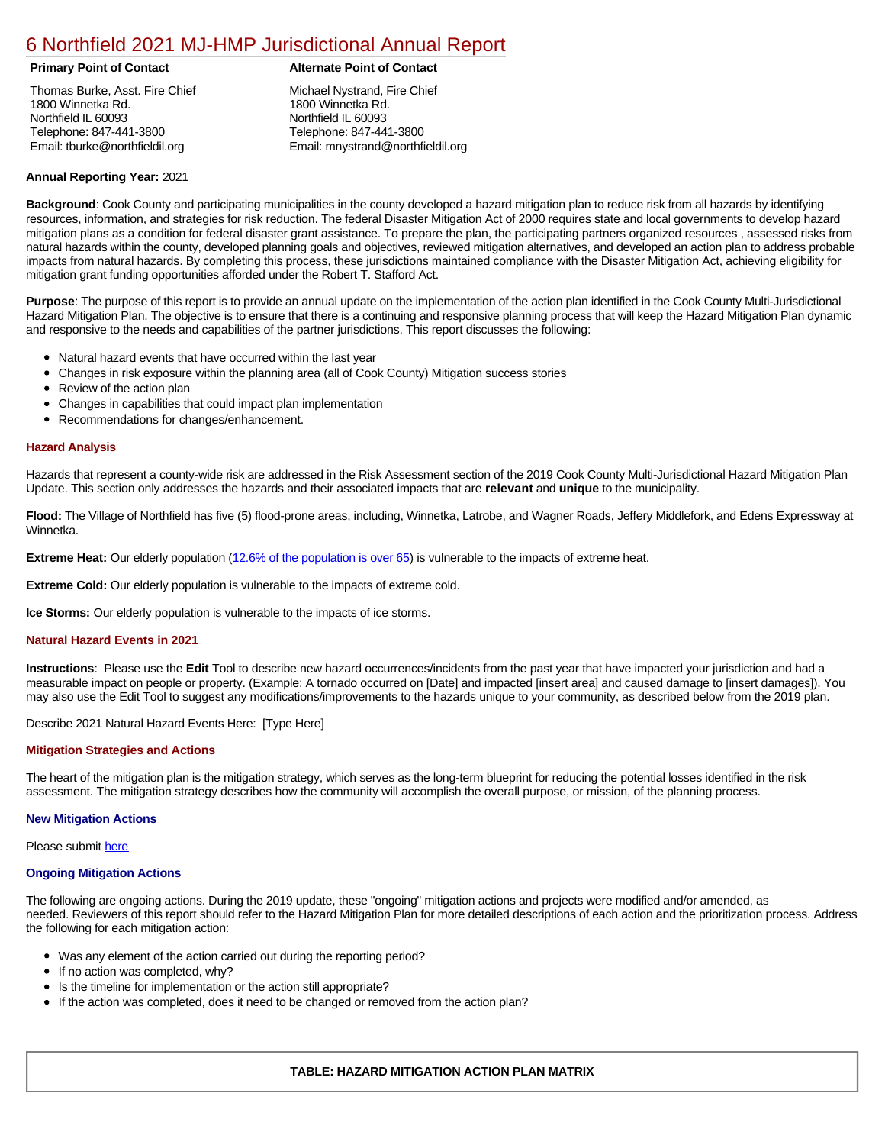# [6 Northfield 2021 MJ-HMP Jurisdictional Annual Report](https://northfield.isc-cemp.com/Cemp/Details?id=8322804)

Thomas Burke, Asst. Fire Chief 1800 Winnetka Rd. Northfield IL 60093 Telephone: 847-441-3800 Email: tburke@northfieldil.org

## **Primary Point of Contact Alternate Point of Contact**

Michael Nystrand, Fire Chief 1800 Winnetka Rd. Northfield IL 60093 Telephone: 847-441-3800 Email: mnystrand@northfieldil.org

#### **Annual Reporting Year:** 2021

**Background**: Cook County and participating municipalities in the county developed a hazard mitigation plan to reduce risk from all hazards by identifying resources, information, and strategies for risk reduction. The federal Disaster Mitigation Act of 2000 requires state and local governments to develop hazard mitigation plans as a condition for federal disaster grant assistance. To prepare the plan, the participating partners organized resources , assessed risks from natural hazards within the county, developed planning goals and objectives, reviewed mitigation alternatives, and developed an action plan to address probable impacts from natural hazards. By completing this process, these jurisdictions maintained compliance with the Disaster Mitigation Act, achieving eligibility for mitigation grant funding opportunities afforded under the Robert T. Stafford Act.

**Purpose**: The purpose of this report is to provide an annual update on the implementation of the action plan identified in the Cook County Multi-Jurisdictional Hazard Mitigation Plan. The objective is to ensure that there is a continuing and responsive planning process that will keep the Hazard Mitigation Plan dynamic and responsive to the needs and capabilities of the partner jurisdictions. This report discusses the following:

- Natural hazard events that have occurred within the last year
- $\bullet$ Changes in risk exposure within the planning area (all of Cook County) Mitigation success stories
- Review of the action plan  $\bullet$
- $\bullet$ Changes in capabilities that could impact plan implementation
- Recommendations for changes/enhancement.  $\bullet$

#### **Hazard Analysis**

Hazards that represent a county-wide risk are addressed in the Risk Assessment section of the 2019 Cook County Multi-Jurisdictional Hazard Mitigation Plan Update. This section only addresses the hazards and their associated impacts that are **relevant** and **unique** to the municipality.

**Flood:** The Village of Northfield has five (5) flood-prone areas, including, Winnetka, Latrobe, and Wagner Roads, Jeffery Middlefork, and Edens Expressway at Winnetka.

**Extreme Heat:** Our elderly population ([12.6% of the population is over 65\)](https://factfinder.census.gov/faces/nav/jsf/pages/index.xhtml) is vulnerable to the impacts of extreme heat.

**Extreme Cold:** Our elderly population is vulnerable to the impacts of extreme cold.

**Ice Storms:** Our elderly population is vulnerable to the impacts of ice storms.

#### **Natural Hazard Events in 2021**

**Instructions**: Please use the **Edit** Tool to describe new hazard occurrences/incidents from the past year that have impacted your jurisdiction and had a measurable impact on people or property. (Example: A tornado occurred on [Date] and impacted [insert area] and caused damage to [insert damages]). You may also use the Edit Tool to suggest any modifications/improvements to the hazards unique to your community, as described below from the 2019 plan.

Describe 2021 Natural Hazard Events Here: [Type Here]

### **Mitigation Strategies and Actions**

The heart of the mitigation plan is the mitigation strategy, which serves as the long-term blueprint for reducing the potential losses identified in the risk assessment. The mitigation strategy describes how the community will accomplish the overall purpose, or mission, of the planning process.

#### **New Mitigation Actions**

Please submit [here](https://integratedsolutions.wufoo.com/forms/mg21jvf0jn639o/)

#### **Ongoing Mitigation Actions**

The following are ongoing actions. During the 2019 update, these "ongoing" mitigation actions and projects were modified and/or amended, as needed. Reviewers of this report should refer to the Hazard Mitigation Plan for more detailed descriptions of each action and the prioritization process. Address the following for each mitigation action:

- Was any element of the action carried out during the reporting period?
- If no action was completed, why?
- Is the timeline for implementation or the action still appropriate?
- If the action was completed, does it need to be changed or removed from the action plan?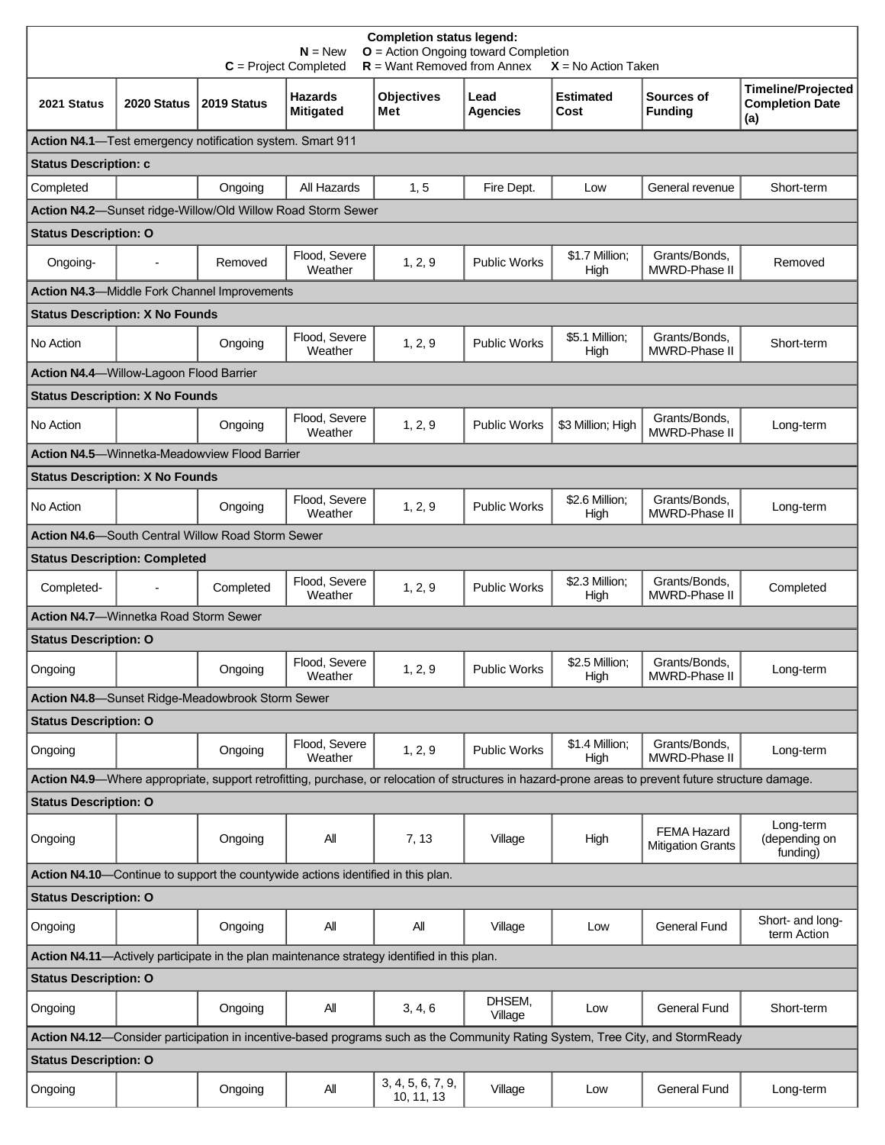| <b>Timeline/Projected</b><br><b>Hazards</b><br><b>Objectives</b><br><b>Estimated</b><br>Sources of<br>Lead<br><b>Completion Date</b><br>2019 Status<br>2021 Status<br>2020 Status<br><b>Mitigated</b><br><b>Agencies</b><br><b>Funding</b><br>Met<br>Cost<br>(a)<br><b>Status Description: c</b><br>All Hazards<br>1, 5<br>Ongoing<br>Fire Dept.<br>Low<br>General revenue<br>Short-term<br>Action N4.2-Sunset ridge-Willow/Old Willow Road Storm Sewer<br><b>Status Description: O</b><br>Grants/Bonds.<br>Flood, Severe<br>\$1.7 Million:<br>Removed<br>1, 2, 9<br><b>Public Works</b><br>Ongoing-<br>Removed<br>Weather<br>MWRD-Phase II<br>High<br><b>Action N4.3-Middle Fork Channel Improvements</b><br><b>Status Description: X No Founds</b><br>Flood, Severe<br>\$5.1 Million;<br>Grants/Bonds,<br>1, 2, 9<br><b>Public Works</b><br>Short-term<br>Ongoing<br>MWRD-Phase II<br>Weather<br>High<br><b>Action N4.4-</b> Willow-Lagoon Flood Barrier<br><b>Status Description: X No Founds</b><br>Flood, Severe<br>Grants/Bonds,<br>1, 2, 9<br><b>Public Works</b><br>\$3 Million; High<br>No Action<br>Ongoing<br>Long-term<br>Weather<br>MWRD-Phase II<br><b>Action N4.5-Winnetka-Meadowview Flood Barrier</b><br><b>Status Description: X No Founds</b><br>Flood, Severe<br>\$2.6 Million;<br>Grants/Bonds,<br>Ongoing<br>1, 2, 9<br><b>Public Works</b><br>Long-term<br>MWRD-Phase II<br>Weather<br>High<br>Action N4.6-South Central Willow Road Storm Sewer<br><b>Status Description: Completed</b><br>Flood, Severe<br>\$2.3 Million;<br>Grants/Bonds,<br>Completed<br><b>Public Works</b><br>Completed-<br>1, 2, 9<br>Completed<br>Weather<br>MWRD-Phase II<br>High<br>Action N4.7-Winnetka Road Storm Sewer<br><b>Status Description: O</b><br>Flood, Severe<br>\$2.5 Million:<br>Grants/Bonds,<br>1, 2, 9<br><b>Public Works</b><br>Ongoing<br>Long-term<br>Weather<br>High<br>MWRD-Phase II<br>Action N4.8-Sunset Ridge-Meadowbrook Storm Sewer<br><b>Status Description: O</b><br>\$1.4 Million;<br>Flood, Severe<br>Grants/Bonds,<br>1, 2, 9<br><b>Public Works</b><br>Ongoing<br>Long-term<br>MWRD-Phase II<br>Weather<br>High<br>Action N4.9—Where appropriate, support retrofitting, purchase, or relocation of structures in hazard-prone areas to prevent future structure damage.<br>Long-term<br>FEMA Hazard<br>All<br>(depending on<br>Ongoing<br>7, 13<br>Village<br>High<br><b>Mitigation Grants</b><br>funding)<br>Action N4.10-Continue to support the countywide actions identified in this plan.<br>Short- and long-<br>All<br>All<br><b>General Fund</b><br>Ongoing<br>Village<br>Low<br>term Action<br>DHSEM,<br>3, 4, 6<br><b>General Fund</b><br>Ongoing<br>ΑIΙ<br>Low<br>Short-term<br>Village<br>Action N4.12-Consider participation in incentive-based programs such as the Community Rating System, Tree City, and StormReady<br><b>Status Description: O</b><br>3, 4, 5, 6, 7, 9,<br>All<br>Village<br><b>General Fund</b><br>Ongoing<br>Low<br>Long-term | <b>Completion status legend:</b><br>$O =$ Action Ongoing toward Completion<br>$N = New$<br>$R =$ Want Removed from Annex<br>$C = Project Completed$<br>$X = No$ Action Taken |  |  |  |            |  |  |  |  |  |  |
|-----------------------------------------------------------------------------------------------------------------------------------------------------------------------------------------------------------------------------------------------------------------------------------------------------------------------------------------------------------------------------------------------------------------------------------------------------------------------------------------------------------------------------------------------------------------------------------------------------------------------------------------------------------------------------------------------------------------------------------------------------------------------------------------------------------------------------------------------------------------------------------------------------------------------------------------------------------------------------------------------------------------------------------------------------------------------------------------------------------------------------------------------------------------------------------------------------------------------------------------------------------------------------------------------------------------------------------------------------------------------------------------------------------------------------------------------------------------------------------------------------------------------------------------------------------------------------------------------------------------------------------------------------------------------------------------------------------------------------------------------------------------------------------------------------------------------------------------------------------------------------------------------------------------------------------------------------------------------------------------------------------------------------------------------------------------------------------------------------------------------------------------------------------------------------------------------------------------------------------------------------------------------------------------------------------------------------------------------------------------------------------------------------------------------------------------------------------------------------------------------------------------------------------------------------------------------------------------------------------------------------------------------------------------------------------------------------------------------------------------------------------------------------------------------------------------------------------------------------------------------------------------------------------------------------------------------------------------------------------------------------|------------------------------------------------------------------------------------------------------------------------------------------------------------------------------|--|--|--|------------|--|--|--|--|--|--|
|                                                                                                                                                                                                                                                                                                                                                                                                                                                                                                                                                                                                                                                                                                                                                                                                                                                                                                                                                                                                                                                                                                                                                                                                                                                                                                                                                                                                                                                                                                                                                                                                                                                                                                                                                                                                                                                                                                                                                                                                                                                                                                                                                                                                                                                                                                                                                                                                                                                                                                                                                                                                                                                                                                                                                                                                                                                                                                                                                                                                     |                                                                                                                                                                              |  |  |  |            |  |  |  |  |  |  |
|                                                                                                                                                                                                                                                                                                                                                                                                                                                                                                                                                                                                                                                                                                                                                                                                                                                                                                                                                                                                                                                                                                                                                                                                                                                                                                                                                                                                                                                                                                                                                                                                                                                                                                                                                                                                                                                                                                                                                                                                                                                                                                                                                                                                                                                                                                                                                                                                                                                                                                                                                                                                                                                                                                                                                                                                                                                                                                                                                                                                     | Action N4.1-Test emergency notification system. Smart 911                                                                                                                    |  |  |  |            |  |  |  |  |  |  |
|                                                                                                                                                                                                                                                                                                                                                                                                                                                                                                                                                                                                                                                                                                                                                                                                                                                                                                                                                                                                                                                                                                                                                                                                                                                                                                                                                                                                                                                                                                                                                                                                                                                                                                                                                                                                                                                                                                                                                                                                                                                                                                                                                                                                                                                                                                                                                                                                                                                                                                                                                                                                                                                                                                                                                                                                                                                                                                                                                                                                     |                                                                                                                                                                              |  |  |  |            |  |  |  |  |  |  |
|                                                                                                                                                                                                                                                                                                                                                                                                                                                                                                                                                                                                                                                                                                                                                                                                                                                                                                                                                                                                                                                                                                                                                                                                                                                                                                                                                                                                                                                                                                                                                                                                                                                                                                                                                                                                                                                                                                                                                                                                                                                                                                                                                                                                                                                                                                                                                                                                                                                                                                                                                                                                                                                                                                                                                                                                                                                                                                                                                                                                     | Completed                                                                                                                                                                    |  |  |  |            |  |  |  |  |  |  |
|                                                                                                                                                                                                                                                                                                                                                                                                                                                                                                                                                                                                                                                                                                                                                                                                                                                                                                                                                                                                                                                                                                                                                                                                                                                                                                                                                                                                                                                                                                                                                                                                                                                                                                                                                                                                                                                                                                                                                                                                                                                                                                                                                                                                                                                                                                                                                                                                                                                                                                                                                                                                                                                                                                                                                                                                                                                                                                                                                                                                     |                                                                                                                                                                              |  |  |  |            |  |  |  |  |  |  |
|                                                                                                                                                                                                                                                                                                                                                                                                                                                                                                                                                                                                                                                                                                                                                                                                                                                                                                                                                                                                                                                                                                                                                                                                                                                                                                                                                                                                                                                                                                                                                                                                                                                                                                                                                                                                                                                                                                                                                                                                                                                                                                                                                                                                                                                                                                                                                                                                                                                                                                                                                                                                                                                                                                                                                                                                                                                                                                                                                                                                     |                                                                                                                                                                              |  |  |  |            |  |  |  |  |  |  |
|                                                                                                                                                                                                                                                                                                                                                                                                                                                                                                                                                                                                                                                                                                                                                                                                                                                                                                                                                                                                                                                                                                                                                                                                                                                                                                                                                                                                                                                                                                                                                                                                                                                                                                                                                                                                                                                                                                                                                                                                                                                                                                                                                                                                                                                                                                                                                                                                                                                                                                                                                                                                                                                                                                                                                                                                                                                                                                                                                                                                     |                                                                                                                                                                              |  |  |  |            |  |  |  |  |  |  |
|                                                                                                                                                                                                                                                                                                                                                                                                                                                                                                                                                                                                                                                                                                                                                                                                                                                                                                                                                                                                                                                                                                                                                                                                                                                                                                                                                                                                                                                                                                                                                                                                                                                                                                                                                                                                                                                                                                                                                                                                                                                                                                                                                                                                                                                                                                                                                                                                                                                                                                                                                                                                                                                                                                                                                                                                                                                                                                                                                                                                     |                                                                                                                                                                              |  |  |  |            |  |  |  |  |  |  |
|                                                                                                                                                                                                                                                                                                                                                                                                                                                                                                                                                                                                                                                                                                                                                                                                                                                                                                                                                                                                                                                                                                                                                                                                                                                                                                                                                                                                                                                                                                                                                                                                                                                                                                                                                                                                                                                                                                                                                                                                                                                                                                                                                                                                                                                                                                                                                                                                                                                                                                                                                                                                                                                                                                                                                                                                                                                                                                                                                                                                     |                                                                                                                                                                              |  |  |  |            |  |  |  |  |  |  |
|                                                                                                                                                                                                                                                                                                                                                                                                                                                                                                                                                                                                                                                                                                                                                                                                                                                                                                                                                                                                                                                                                                                                                                                                                                                                                                                                                                                                                                                                                                                                                                                                                                                                                                                                                                                                                                                                                                                                                                                                                                                                                                                                                                                                                                                                                                                                                                                                                                                                                                                                                                                                                                                                                                                                                                                                                                                                                                                                                                                                     | No Action                                                                                                                                                                    |  |  |  |            |  |  |  |  |  |  |
|                                                                                                                                                                                                                                                                                                                                                                                                                                                                                                                                                                                                                                                                                                                                                                                                                                                                                                                                                                                                                                                                                                                                                                                                                                                                                                                                                                                                                                                                                                                                                                                                                                                                                                                                                                                                                                                                                                                                                                                                                                                                                                                                                                                                                                                                                                                                                                                                                                                                                                                                                                                                                                                                                                                                                                                                                                                                                                                                                                                                     |                                                                                                                                                                              |  |  |  |            |  |  |  |  |  |  |
|                                                                                                                                                                                                                                                                                                                                                                                                                                                                                                                                                                                                                                                                                                                                                                                                                                                                                                                                                                                                                                                                                                                                                                                                                                                                                                                                                                                                                                                                                                                                                                                                                                                                                                                                                                                                                                                                                                                                                                                                                                                                                                                                                                                                                                                                                                                                                                                                                                                                                                                                                                                                                                                                                                                                                                                                                                                                                                                                                                                                     |                                                                                                                                                                              |  |  |  |            |  |  |  |  |  |  |
|                                                                                                                                                                                                                                                                                                                                                                                                                                                                                                                                                                                                                                                                                                                                                                                                                                                                                                                                                                                                                                                                                                                                                                                                                                                                                                                                                                                                                                                                                                                                                                                                                                                                                                                                                                                                                                                                                                                                                                                                                                                                                                                                                                                                                                                                                                                                                                                                                                                                                                                                                                                                                                                                                                                                                                                                                                                                                                                                                                                                     |                                                                                                                                                                              |  |  |  |            |  |  |  |  |  |  |
|                                                                                                                                                                                                                                                                                                                                                                                                                                                                                                                                                                                                                                                                                                                                                                                                                                                                                                                                                                                                                                                                                                                                                                                                                                                                                                                                                                                                                                                                                                                                                                                                                                                                                                                                                                                                                                                                                                                                                                                                                                                                                                                                                                                                                                                                                                                                                                                                                                                                                                                                                                                                                                                                                                                                                                                                                                                                                                                                                                                                     |                                                                                                                                                                              |  |  |  |            |  |  |  |  |  |  |
|                                                                                                                                                                                                                                                                                                                                                                                                                                                                                                                                                                                                                                                                                                                                                                                                                                                                                                                                                                                                                                                                                                                                                                                                                                                                                                                                                                                                                                                                                                                                                                                                                                                                                                                                                                                                                                                                                                                                                                                                                                                                                                                                                                                                                                                                                                                                                                                                                                                                                                                                                                                                                                                                                                                                                                                                                                                                                                                                                                                                     |                                                                                                                                                                              |  |  |  |            |  |  |  |  |  |  |
|                                                                                                                                                                                                                                                                                                                                                                                                                                                                                                                                                                                                                                                                                                                                                                                                                                                                                                                                                                                                                                                                                                                                                                                                                                                                                                                                                                                                                                                                                                                                                                                                                                                                                                                                                                                                                                                                                                                                                                                                                                                                                                                                                                                                                                                                                                                                                                                                                                                                                                                                                                                                                                                                                                                                                                                                                                                                                                                                                                                                     | No Action                                                                                                                                                                    |  |  |  |            |  |  |  |  |  |  |
|                                                                                                                                                                                                                                                                                                                                                                                                                                                                                                                                                                                                                                                                                                                                                                                                                                                                                                                                                                                                                                                                                                                                                                                                                                                                                                                                                                                                                                                                                                                                                                                                                                                                                                                                                                                                                                                                                                                                                                                                                                                                                                                                                                                                                                                                                                                                                                                                                                                                                                                                                                                                                                                                                                                                                                                                                                                                                                                                                                                                     |                                                                                                                                                                              |  |  |  |            |  |  |  |  |  |  |
|                                                                                                                                                                                                                                                                                                                                                                                                                                                                                                                                                                                                                                                                                                                                                                                                                                                                                                                                                                                                                                                                                                                                                                                                                                                                                                                                                                                                                                                                                                                                                                                                                                                                                                                                                                                                                                                                                                                                                                                                                                                                                                                                                                                                                                                                                                                                                                                                                                                                                                                                                                                                                                                                                                                                                                                                                                                                                                                                                                                                     |                                                                                                                                                                              |  |  |  |            |  |  |  |  |  |  |
|                                                                                                                                                                                                                                                                                                                                                                                                                                                                                                                                                                                                                                                                                                                                                                                                                                                                                                                                                                                                                                                                                                                                                                                                                                                                                                                                                                                                                                                                                                                                                                                                                                                                                                                                                                                                                                                                                                                                                                                                                                                                                                                                                                                                                                                                                                                                                                                                                                                                                                                                                                                                                                                                                                                                                                                                                                                                                                                                                                                                     |                                                                                                                                                                              |  |  |  |            |  |  |  |  |  |  |
|                                                                                                                                                                                                                                                                                                                                                                                                                                                                                                                                                                                                                                                                                                                                                                                                                                                                                                                                                                                                                                                                                                                                                                                                                                                                                                                                                                                                                                                                                                                                                                                                                                                                                                                                                                                                                                                                                                                                                                                                                                                                                                                                                                                                                                                                                                                                                                                                                                                                                                                                                                                                                                                                                                                                                                                                                                                                                                                                                                                                     |                                                                                                                                                                              |  |  |  |            |  |  |  |  |  |  |
|                                                                                                                                                                                                                                                                                                                                                                                                                                                                                                                                                                                                                                                                                                                                                                                                                                                                                                                                                                                                                                                                                                                                                                                                                                                                                                                                                                                                                                                                                                                                                                                                                                                                                                                                                                                                                                                                                                                                                                                                                                                                                                                                                                                                                                                                                                                                                                                                                                                                                                                                                                                                                                                                                                                                                                                                                                                                                                                                                                                                     |                                                                                                                                                                              |  |  |  |            |  |  |  |  |  |  |
|                                                                                                                                                                                                                                                                                                                                                                                                                                                                                                                                                                                                                                                                                                                                                                                                                                                                                                                                                                                                                                                                                                                                                                                                                                                                                                                                                                                                                                                                                                                                                                                                                                                                                                                                                                                                                                                                                                                                                                                                                                                                                                                                                                                                                                                                                                                                                                                                                                                                                                                                                                                                                                                                                                                                                                                                                                                                                                                                                                                                     | Ongoing                                                                                                                                                                      |  |  |  |            |  |  |  |  |  |  |
|                                                                                                                                                                                                                                                                                                                                                                                                                                                                                                                                                                                                                                                                                                                                                                                                                                                                                                                                                                                                                                                                                                                                                                                                                                                                                                                                                                                                                                                                                                                                                                                                                                                                                                                                                                                                                                                                                                                                                                                                                                                                                                                                                                                                                                                                                                                                                                                                                                                                                                                                                                                                                                                                                                                                                                                                                                                                                                                                                                                                     |                                                                                                                                                                              |  |  |  |            |  |  |  |  |  |  |
|                                                                                                                                                                                                                                                                                                                                                                                                                                                                                                                                                                                                                                                                                                                                                                                                                                                                                                                                                                                                                                                                                                                                                                                                                                                                                                                                                                                                                                                                                                                                                                                                                                                                                                                                                                                                                                                                                                                                                                                                                                                                                                                                                                                                                                                                                                                                                                                                                                                                                                                                                                                                                                                                                                                                                                                                                                                                                                                                                                                                     |                                                                                                                                                                              |  |  |  |            |  |  |  |  |  |  |
|                                                                                                                                                                                                                                                                                                                                                                                                                                                                                                                                                                                                                                                                                                                                                                                                                                                                                                                                                                                                                                                                                                                                                                                                                                                                                                                                                                                                                                                                                                                                                                                                                                                                                                                                                                                                                                                                                                                                                                                                                                                                                                                                                                                                                                                                                                                                                                                                                                                                                                                                                                                                                                                                                                                                                                                                                                                                                                                                                                                                     | Ongoing                                                                                                                                                                      |  |  |  |            |  |  |  |  |  |  |
|                                                                                                                                                                                                                                                                                                                                                                                                                                                                                                                                                                                                                                                                                                                                                                                                                                                                                                                                                                                                                                                                                                                                                                                                                                                                                                                                                                                                                                                                                                                                                                                                                                                                                                                                                                                                                                                                                                                                                                                                                                                                                                                                                                                                                                                                                                                                                                                                                                                                                                                                                                                                                                                                                                                                                                                                                                                                                                                                                                                                     |                                                                                                                                                                              |  |  |  |            |  |  |  |  |  |  |
|                                                                                                                                                                                                                                                                                                                                                                                                                                                                                                                                                                                                                                                                                                                                                                                                                                                                                                                                                                                                                                                                                                                                                                                                                                                                                                                                                                                                                                                                                                                                                                                                                                                                                                                                                                                                                                                                                                                                                                                                                                                                                                                                                                                                                                                                                                                                                                                                                                                                                                                                                                                                                                                                                                                                                                                                                                                                                                                                                                                                     | <b>Status Description: O</b>                                                                                                                                                 |  |  |  |            |  |  |  |  |  |  |
|                                                                                                                                                                                                                                                                                                                                                                                                                                                                                                                                                                                                                                                                                                                                                                                                                                                                                                                                                                                                                                                                                                                                                                                                                                                                                                                                                                                                                                                                                                                                                                                                                                                                                                                                                                                                                                                                                                                                                                                                                                                                                                                                                                                                                                                                                                                                                                                                                                                                                                                                                                                                                                                                                                                                                                                                                                                                                                                                                                                                     | Ongoing                                                                                                                                                                      |  |  |  |            |  |  |  |  |  |  |
|                                                                                                                                                                                                                                                                                                                                                                                                                                                                                                                                                                                                                                                                                                                                                                                                                                                                                                                                                                                                                                                                                                                                                                                                                                                                                                                                                                                                                                                                                                                                                                                                                                                                                                                                                                                                                                                                                                                                                                                                                                                                                                                                                                                                                                                                                                                                                                                                                                                                                                                                                                                                                                                                                                                                                                                                                                                                                                                                                                                                     |                                                                                                                                                                              |  |  |  |            |  |  |  |  |  |  |
|                                                                                                                                                                                                                                                                                                                                                                                                                                                                                                                                                                                                                                                                                                                                                                                                                                                                                                                                                                                                                                                                                                                                                                                                                                                                                                                                                                                                                                                                                                                                                                                                                                                                                                                                                                                                                                                                                                                                                                                                                                                                                                                                                                                                                                                                                                                                                                                                                                                                                                                                                                                                                                                                                                                                                                                                                                                                                                                                                                                                     | <b>Status Description: O</b>                                                                                                                                                 |  |  |  |            |  |  |  |  |  |  |
|                                                                                                                                                                                                                                                                                                                                                                                                                                                                                                                                                                                                                                                                                                                                                                                                                                                                                                                                                                                                                                                                                                                                                                                                                                                                                                                                                                                                                                                                                                                                                                                                                                                                                                                                                                                                                                                                                                                                                                                                                                                                                                                                                                                                                                                                                                                                                                                                                                                                                                                                                                                                                                                                                                                                                                                                                                                                                                                                                                                                     | Ongoing                                                                                                                                                                      |  |  |  |            |  |  |  |  |  |  |
|                                                                                                                                                                                                                                                                                                                                                                                                                                                                                                                                                                                                                                                                                                                                                                                                                                                                                                                                                                                                                                                                                                                                                                                                                                                                                                                                                                                                                                                                                                                                                                                                                                                                                                                                                                                                                                                                                                                                                                                                                                                                                                                                                                                                                                                                                                                                                                                                                                                                                                                                                                                                                                                                                                                                                                                                                                                                                                                                                                                                     | Action N4.11—Actively participate in the plan maintenance strategy identified in this plan.                                                                                  |  |  |  |            |  |  |  |  |  |  |
|                                                                                                                                                                                                                                                                                                                                                                                                                                                                                                                                                                                                                                                                                                                                                                                                                                                                                                                                                                                                                                                                                                                                                                                                                                                                                                                                                                                                                                                                                                                                                                                                                                                                                                                                                                                                                                                                                                                                                                                                                                                                                                                                                                                                                                                                                                                                                                                                                                                                                                                                                                                                                                                                                                                                                                                                                                                                                                                                                                                                     | <b>Status Description: O</b>                                                                                                                                                 |  |  |  |            |  |  |  |  |  |  |
|                                                                                                                                                                                                                                                                                                                                                                                                                                                                                                                                                                                                                                                                                                                                                                                                                                                                                                                                                                                                                                                                                                                                                                                                                                                                                                                                                                                                                                                                                                                                                                                                                                                                                                                                                                                                                                                                                                                                                                                                                                                                                                                                                                                                                                                                                                                                                                                                                                                                                                                                                                                                                                                                                                                                                                                                                                                                                                                                                                                                     | Ongoing                                                                                                                                                                      |  |  |  |            |  |  |  |  |  |  |
|                                                                                                                                                                                                                                                                                                                                                                                                                                                                                                                                                                                                                                                                                                                                                                                                                                                                                                                                                                                                                                                                                                                                                                                                                                                                                                                                                                                                                                                                                                                                                                                                                                                                                                                                                                                                                                                                                                                                                                                                                                                                                                                                                                                                                                                                                                                                                                                                                                                                                                                                                                                                                                                                                                                                                                                                                                                                                                                                                                                                     |                                                                                                                                                                              |  |  |  |            |  |  |  |  |  |  |
|                                                                                                                                                                                                                                                                                                                                                                                                                                                                                                                                                                                                                                                                                                                                                                                                                                                                                                                                                                                                                                                                                                                                                                                                                                                                                                                                                                                                                                                                                                                                                                                                                                                                                                                                                                                                                                                                                                                                                                                                                                                                                                                                                                                                                                                                                                                                                                                                                                                                                                                                                                                                                                                                                                                                                                                                                                                                                                                                                                                                     |                                                                                                                                                                              |  |  |  |            |  |  |  |  |  |  |
|                                                                                                                                                                                                                                                                                                                                                                                                                                                                                                                                                                                                                                                                                                                                                                                                                                                                                                                                                                                                                                                                                                                                                                                                                                                                                                                                                                                                                                                                                                                                                                                                                                                                                                                                                                                                                                                                                                                                                                                                                                                                                                                                                                                                                                                                                                                                                                                                                                                                                                                                                                                                                                                                                                                                                                                                                                                                                                                                                                                                     | Ongoing                                                                                                                                                                      |  |  |  | 10, 11, 13 |  |  |  |  |  |  |